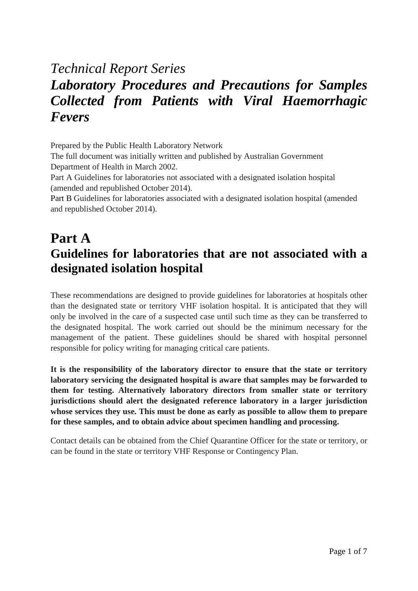# *Technical Report Series Laboratory Procedures and Precautions for Samples Collected from Patients with Viral Haemorrhagic Fevers*

Prepared by the Public Health Laboratory Network

The full document was initially written and published by Australian Government Department of Health in March 2002.

Part A Guidelines for laboratories not associated with a designated isolation hospital (amended and republished October 2014).

[Part B](http://www.health.gov.au/internet/main/publishing.nsf/Content/cda-pubs-other-vhf.htm) Guidelines for laboratories associated with a designated isolation hospital (amended and republished October 2014).

## **Part A Guidelines for laboratories that are not associated with a designated isolation hospital**

These recommendations are designed to provide guidelines for laboratories at hospitals other than the designated state or territory VHF isolation hospital. It is anticipated that they will only be involved in the care of a suspected case until such time as they can be transferred to the designated hospital. The work carried out should be the minimum necessary for the management of the patient. These guidelines should be shared with hospital personnel responsible for policy writing for managing critical care patients.

**It is the responsibility of the laboratory director to ensure that the state or territory laboratory servicing the designated hospital is aware that samples may be forwarded to them for testing. Alternatively laboratory directors from smaller state or territory jurisdictions should alert the designated reference laboratory in a larger jurisdiction whose services they use. This must be done as early as possible to allow them to prepare for these samples, and to obtain advice about specimen handling and processing.**

Contact details can be obtained from the Chief Quarantine Officer for the state or territory, or can be found in the state or territory VHF Response or Contingency Plan.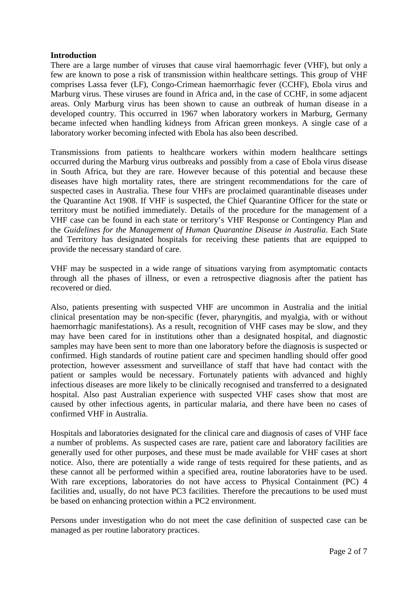#### **Introduction**

There are a large number of viruses that cause viral haemorrhagic fever (VHF), but only a few are known to pose a risk of transmission within healthcare settings. This group of VHF comprises Lassa fever (LF), Congo-Crimean haemorrhagic fever (CCHF), Ebola virus and Marburg virus. These viruses are found in Africa and, in the case of CCHF, in some adjacent areas. Only Marburg virus has been shown to cause an outbreak of human disease in a developed country. This occurred in 1967 when laboratory workers in Marburg, Germany became infected when handling kidneys from African green monkeys. A single case of a laboratory worker becoming infected with Ebola has also been described.

Transmissions from patients to healthcare workers within modern healthcare settings occurred during the Marburg virus outbreaks and possibly from a case of Ebola virus disease in South Africa, but they are rare. However because of this potential and because these diseases have high mortality rates, there are stringent recommendations for the care of suspected cases in Australia. These four VHFs are proclaimed quarantinable diseases under the Quarantine Act 1908. If VHF is suspected, the Chief Quarantine Officer for the state or territory must be notified immediately. Details of the procedure for the management of a VHF case can be found in each state or territory's VHF Response or Contingency Plan and the *Guidelines for the Management of Human Quarantine Disease in Australia*. Each State and Territory has designated hospitals for receiving these patients that are equipped to provide the necessary standard of care.

VHF may be suspected in a wide range of situations varying from asymptomatic contacts through all the phases of illness, or even a retrospective diagnosis after the patient has recovered or died.

Also, patients presenting with suspected VHF are uncommon in Australia and the initial clinical presentation may be non-specific (fever, pharyngitis, and myalgia, with or without haemorrhagic manifestations). As a result, recognition of VHF cases may be slow, and they may have been cared for in institutions other than a designated hospital, and diagnostic samples may have been sent to more than one laboratory before the diagnosis is suspected or confirmed. High standards of routine patient care and specimen handling should offer good protection, however assessment and surveillance of staff that have had contact with the patient or samples would be necessary. Fortunately patients with advanced and highly infectious diseases are more likely to be clinically recognised and transferred to a designated hospital. Also past Australian experience with suspected VHF cases show that most are caused by other infectious agents, in particular malaria, and there have been no cases of confirmed VHF in Australia.

Hospitals and laboratories designated for the clinical care and diagnosis of cases of VHF face a number of problems. As suspected cases are rare, patient care and laboratory facilities are generally used for other purposes, and these must be made available for VHF cases at short notice. Also, there are potentially a wide range of tests required for these patients, and as these cannot all be performed within a specified area, routine laboratories have to be used. With rare exceptions, laboratories do not have access to Physical Containment (PC) 4 facilities and, usually, do not have PC3 facilities. Therefore the precautions to be used must be based on enhancing protection within a PC2 environment.

Persons under investigation who do not meet the case definition of suspected case can be managed as per routine laboratory practices.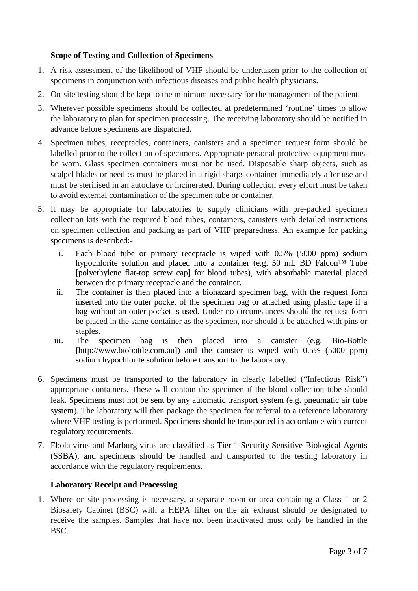### **Scope of Testing and Collection of Specimens**

- 1. A risk assessment of the likelihood of VHF should be undertaken prior to the collection of specimens in conjunction with infectious diseases and public health physicians.
- 2. On-site testing should be kept to the minimum necessary for the management of the patient.
- 3. Wherever possible specimens should be collected at predetermined 'routine' times to allow the laboratory to plan for specimen processing. The receiving laboratory should be notified in advance before specimens are dispatched.
- 4. Specimen tubes, receptacles, containers, canisters and a specimen request form should be labelled prior to the collection of specimens. Appropriate personal protective equipment must be worn. Glass specimen containers must not be used. Disposable sharp objects, such as scalpel blades or needles must be placed in a rigid sharps container immediately after use and must be sterilised in an autoclave or incinerated. During collection every effort must be taken to avoid external contamination of the specimen tube or container.
- 5. It may be appropriate for laboratories to supply clinicians with pre-packed specimen collection kits with the required blood tubes, containers, canisters with detailed instructions on specimen collection and packing as part of VHF preparedness. An example for packing specimens is described:
	- i. Each blood tube or primary receptacle is wiped with 0.5% (5000 ppm) sodium hypochlorite solution and placed into a container (e.g. 50 mL BD Falcon™ Tube [polyethylene flat-top screw cap] for blood tubes), with absorbable material placed between the primary receptacle and the container.
	- ii. The container is then placed into a biohazard specimen bag, with the request form inserted into the outer pocket of the specimen bag or attached using plastic tape if a bag without an outer pocket is used. Under no circumstances should the request form be placed in the same container as the specimen, nor should it be attached with pins or staples.
	- iii. The specimen bag is then placed into a canister (e.g. Bio-Bottle [http://www.biobottle.com.au]) and the canister is wiped with 0.5% (5000 ppm) sodium hypochlorite solution before transport to the laboratory.
- 6. Specimens must be transported to the laboratory in clearly labelled ("Infectious Risk") appropriate containers. These will contain the specimen if the blood collection tube should leak. Specimens must not be sent by any automatic transport system (e.g. pneumatic air tube system). The laboratory will then package the specimen for referral to a reference laboratory where VHF testing is performed. Specimens should be transported in accordance with current regulatory requirements.
- 7. Ebola virus and Marburg virus are classified as Tier 1 Security Sensitive Biological Agents (SSBA), and specimens should be handled and transported to the testing laboratory in accordance with the regulatory requirements.

### **Laboratory Receipt and Processing**

1. Where on-site processing is necessary, a separate room or area containing a Class 1 or 2 Biosafety Cabinet (BSC) with a HEPA filter on the air exhaust should be designated to receive the samples. Samples that have not been inactivated must only be handled in the BSC.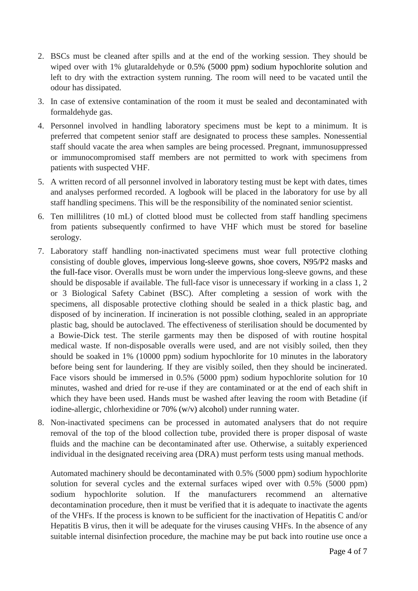- 2. BSCs must be cleaned after spills and at the end of the working session. They should be wiped over with 1% glutaraldehyde or 0.5% (5000 ppm) sodium hypochlorite solution and left to dry with the extraction system running. The room will need to be vacated until the odour has dissipated.
- 3. In case of extensive contamination of the room it must be sealed and decontaminated with formaldehyde gas.
- 4. Personnel involved in handling laboratory specimens must be kept to a minimum. It is preferred that competent senior staff are designated to process these samples. Nonessential staff should vacate the area when samples are being processed. Pregnant, immunosuppressed or immunocompromised staff members are not permitted to work with specimens from patients with suspected VHF.
- 5. A written record of all personnel involved in laboratory testing must be kept with dates, times and analyses performed recorded. A logbook will be placed in the laboratory for use by all staff handling specimens. This will be the responsibility of the nominated senior scientist.
- 6. Ten millilitres (10 mL) of clotted blood must be collected from staff handling specimens from patients subsequently confirmed to have VHF which must be stored for baseline serology.
- 7. Laboratory staff handling non-inactivated specimens must wear full protective clothing consisting of double gloves, impervious long-sleeve gowns, shoe covers, N95/P2 masks and the full-face visor. Overalls must be worn under the impervious long-sleeve gowns, and these should be disposable if available. The full-face visor is unnecessary if working in a class 1, 2 or 3 Biological Safety Cabinet (BSC). After completing a session of work with the specimens, all disposable protective clothing should be sealed in a thick plastic bag, and disposed of by incineration. If incineration is not possible clothing, sealed in an appropriate plastic bag, should be autoclaved. The effectiveness of sterilisation should be documented by a Bowie-Dick test. The sterile garments may then be disposed of with routine hospital medical waste. If non-disposable overalls were used, and are not visibly soiled, then they should be soaked in 1% (10000 ppm) sodium hypochlorite for 10 minutes in the laboratory before being sent for laundering. If they are visibly soiled, then they should be incinerated. Face visors should be immersed in 0.5% (5000 ppm) sodium hypochlorite solution for 10 minutes, washed and dried for re-use if they are contaminated or at the end of each shift in which they have been used. Hands must be washed after leaving the room with Betadine (if iodine-allergic, chlorhexidine or 70% (w/v) alcohol) under running water.
- 8. Non-inactivated specimens can be processed in automated analysers that do not require removal of the top of the blood collection tube, provided there is proper disposal of waste fluids and the machine can be decontaminated after use. Otherwise, a suitably experienced individual in the designated receiving area (DRA) must perform tests using manual methods.

Automated machinery should be decontaminated with 0.5% (5000 ppm) sodium hypochlorite solution for several cycles and the external surfaces wiped over with 0.5% (5000 ppm) sodium hypochlorite solution. If the manufacturers recommend an alternative decontamination procedure, then it must be verified that it is adequate to inactivate the agents of the VHFs. If the process is known to be sufficient for the inactivation of Hepatitis C and/or Hepatitis B virus, then it will be adequate for the viruses causing VHFs. In the absence of any suitable internal disinfection procedure, the machine may be put back into routine use once a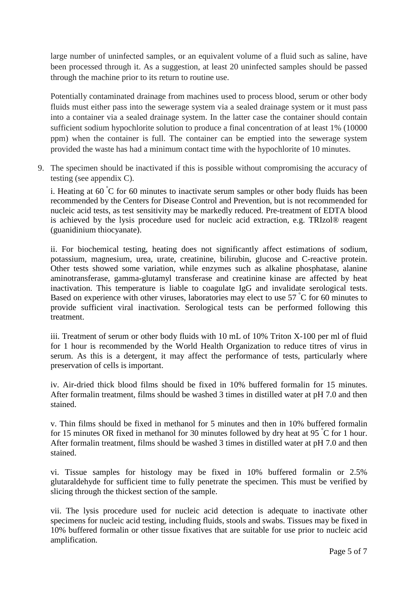large number of uninfected samples, or an equivalent volume of a fluid such as saline, have been processed through it. As a suggestion, at least 20 uninfected samples should be passed through the machine prior to its return to routine use.

Potentially contaminated drainage from machines used to process blood, serum or other body fluids must either pass into the sewerage system via a sealed drainage system or it must pass into a container via a sealed drainage system. In the latter case the container should contain sufficient sodium hypochlorite solution to produce a final concentration of at least 1% (10000 ppm) when the container is full. The container can be emptied into the sewerage system provided the waste has had a minimum contact time with the hypochlorite of 10 minutes.

9. The specimen should be inactivated if this is possible without compromising the accuracy of testing (see appendix C).

i. Heating at 60  $\degree$ C for 60 minutes to inactivate serum samples or other body fluids has been recommended by the Centers for Disease Control and Prevention, but is not recommended for nucleic acid tests, as test sensitivity may be markedly reduced. Pre-treatment of EDTA blood is achieved by the lysis procedure used for nucleic acid extraction, e.g. TRIzol® reagent (guanidinium thiocyanate).

ii. For biochemical testing, heating does not significantly affect estimations of sodium, potassium, magnesium, urea, urate, creatinine, bilirubin, glucose and C-reactive protein. Other tests showed some variation, while enzymes such as alkaline phosphatase, alanine aminotransferase, gamma-glutamyl transferase and creatinine kinase are affected by heat inactivation. This temperature is liable to coagulate IgG and invalidate serological tests. Based on experience with other viruses, laboratories may elect to use 57 °C for 60 minutes to provide sufficient viral inactivation. Serological tests can be performed following this treatment.

iii. Treatment of serum or other body fluids with 10 mL of 10% Triton X-100 per ml of fluid for 1 hour is recommended by the World Health Organization to reduce titres of virus in serum. As this is a detergent, it may affect the performance of tests, particularly where preservation of cells is important.

iv. Air-dried thick blood films should be fixed in 10% buffered formalin for 15 minutes. After formalin treatment, films should be washed 3 times in distilled water at pH 7.0 and then stained.

v. Thin films should be fixed in methanol for 5 minutes and then in 10% buffered formalin for 15 minutes OR fixed in methanol for 30 minutes followed by dry heat at 95 °C for 1 hour. After formalin treatment, films should be washed 3 times in distilled water at pH 7.0 and then stained.

vi. Tissue samples for histology may be fixed in 10% buffered formalin or 2.5% glutaraldehyde for sufficient time to fully penetrate the specimen. This must be verified by slicing through the thickest section of the sample.

vii. The lysis procedure used for nucleic acid detection is adequate to inactivate other specimens for nucleic acid testing, including fluids, stools and swabs. Tissues may be fixed in 10% buffered formalin or other tissue fixatives that are suitable for use prior to nucleic acid amplification.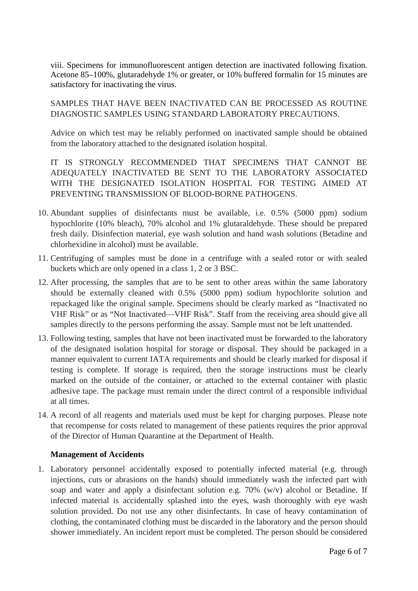viii. Specimens for immunofluorescent antigen detection are inactivated following fixation. Acetone 85–100%, glutaradehyde 1% or greater, or 10% buffered formalin for 15 minutes are satisfactory for inactivating the virus.

SAMPLES THAT HAVE BEEN INACTIVATED CAN BE PROCESSED AS ROUTINE DIAGNOSTIC SAMPLES USING STANDARD LABORATORY PRECAUTIONS.

Advice on which test may be reliably performed on inactivated sample should be obtained from the laboratory attached to the designated isolation hospital.

IT IS STRONGLY RECOMMENDED THAT SPECIMENS THAT CANNOT BE ADEQUATELY INACTIVATED BE SENT TO THE LABORATORY ASSOCIATED WITH THE DESIGNATED ISOLATION HOSPITAL FOR TESTING AIMED AT PREVENTING TRANSMISSION OF BLOOD-BORNE PATHOGENS.

- 10. Abundant supplies of disinfectants must be available, i.e. 0.5% (5000 ppm) sodium hypochlorite (10% bleach), 70% alcohol and 1% glutaraldehyde. These should be prepared fresh daily. Disinfection material, eye wash solution and hand wash solutions (Betadine and chlorhexidine in alcohol) must be available.
- 11. Centrifuging of samples must be done in a centrifuge with a sealed rotor or with sealed buckets which are only opened in a class 1, 2 or 3 BSC.
- 12. After processing, the samples that are to be sent to other areas within the same laboratory should be externally cleaned with 0.5% (5000 ppm) sodium hypochlorite solution and repackaged like the original sample. Specimens should be clearly marked as "Inactivated no VHF Risk" or as "Not Inactivated—VHF Risk". Staff from the receiving area should give all samples directly to the persons performing the assay. Sample must not be left unattended.
- 13. Following testing, samples that have not been inactivated must be forwarded to the laboratory of the designated isolation hospital for storage or disposal. They should be packaged in a manner equivalent to current IATA requirements and should be clearly marked for disposal if testing is complete. If storage is required, then the storage instructions must be clearly marked on the outside of the container, or attached to the external container with plastic adhesive tape. The package must remain under the direct control of a responsible individual at all times.
- 14. A record of all reagents and materials used must be kept for charging purposes. Please note that recompense for costs related to management of these patients requires the prior approval of the Director of Human Quarantine at the Department of Health.

### **Management of Accidents**

1. Laboratory personnel accidentally exposed to potentially infected material (e.g. through injections, cuts or abrasions on the hands) should immediately wash the infected part with soap and water and apply a disinfectant solution e.g. 70% (w/v) alcohol or Betadine. If infected material is accidentally splashed into the eyes, wash thoroughly with eye wash solution provided. Do not use any other disinfectants. In case of heavy contamination of clothing, the contaminated clothing must be discarded in the laboratory and the person should shower immediately. An incident report must be completed. The person should be considered